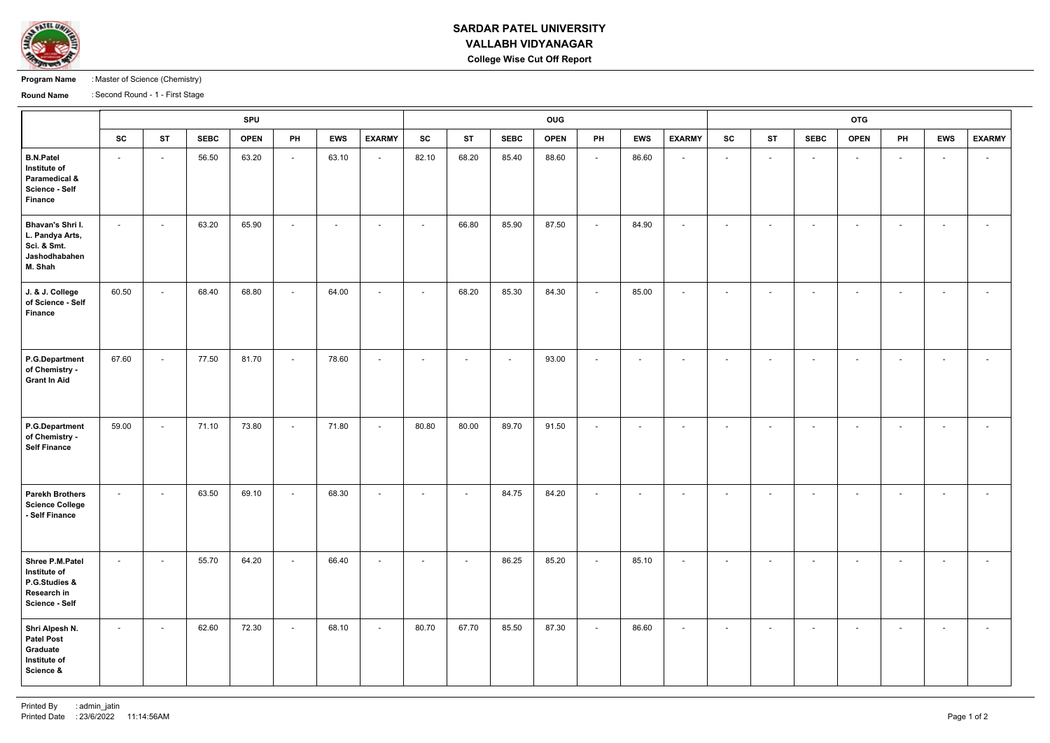

## **SARDAR PATEL UNIVERSITY VALLABH VIDYANAGAR College Wise Cut Off Report**

**Program Name** : Master of Science (Chemistry)

**Round Name** : Second Round - 1 - First Stage

|                                                                                              | <b>SPU</b>     |           |             |             |                          |            |                          |                          |                          | OUG                      |             |                          |                          |                          |           |           |                          | <b>OTG</b>               |                          |                          |                          |  |  |  |
|----------------------------------------------------------------------------------------------|----------------|-----------|-------------|-------------|--------------------------|------------|--------------------------|--------------------------|--------------------------|--------------------------|-------------|--------------------------|--------------------------|--------------------------|-----------|-----------|--------------------------|--------------------------|--------------------------|--------------------------|--------------------------|--|--|--|
|                                                                                              | <b>SC</b>      | <b>ST</b> | <b>SEBC</b> | <b>OPEN</b> | PH                       | <b>EWS</b> | <b>EXARMY</b>            | <b>SC</b>                | <b>ST</b>                | <b>SEBC</b>              | <b>OPEN</b> | PH                       | <b>EWS</b>               | <b>EXARMY</b>            | <b>SC</b> | <b>ST</b> | <b>SEBC</b>              | <b>OPEN</b>              | PH                       | <b>EWS</b>               | <b>EXARMY</b>            |  |  |  |
| <b>B.N.Patel</b><br>Institute of<br>Paramedical &<br><b>Science - Self</b><br><b>Finance</b> | $\sim$         | $\sim$    | 56.50       | 63.20       | $\sim$                   | 63.10      | $\overline{\phantom{a}}$ | 82.10                    | 68.20                    | 85.40                    | 88.60       | $\sim$                   | 86.60                    | $\sim$                   | $\sim$    | $\sim$    | $\sim$                   | $\sim$                   | $\sim$                   | $\sim$                   | $\overline{\phantom{a}}$ |  |  |  |
| Bhavan's Shri I.<br>L. Pandya Arts,<br>Sci. & Smt.<br>Jashodhabahen<br>M. Shah               | $\sim$         | $\sim$    | 63.20       | 65.90       | $\overline{\phantom{a}}$ | $\sim$     | $\sim$                   | $\blacksquare$           | 66.80                    | 85.90                    | 87.50       | $\sim$                   | 84.90                    | $\sim$                   | $\sim$    | $\sim$    | $\overline{\phantom{0}}$ | $\overline{\phantom{0}}$ | $\sim$                   | $\sim$                   | $\sim$                   |  |  |  |
| J. & J. College<br>of Science - Self<br><b>Finance</b>                                       | 60.50          | $\sim$    | 68.40       | 68.80       | $\overline{\phantom{a}}$ | 64.00      | $\overline{\phantom{a}}$ | $\overline{\phantom{a}}$ | 68.20                    | 85.30                    | 84.30       | $\sim$                   | 85.00                    | $\sim$                   | $\sim$    | $\sim$    | $\overline{\phantom{a}}$ | $\overline{\phantom{0}}$ | $\sim$                   | $\sim$                   | $\overline{a}$           |  |  |  |
| <b>P.G.Department</b><br>of Chemistry -<br><b>Grant In Aid</b>                               | 67.60          | $\sim$    | 77.50       | 81.70       | $\overline{\phantom{a}}$ | 78.60      | $\overline{\phantom{a}}$ | $\overline{\phantom{a}}$ | $\overline{\phantom{a}}$ | $\overline{\phantom{a}}$ | 93.00       | $\overline{\phantom{a}}$ | $\overline{\phantom{a}}$ | $\sim$                   | $\sim$    | $\sim$    | $\overline{\phantom{a}}$ | $\overline{\phantom{0}}$ | $\overline{\phantom{0}}$ |                          | $\overline{\phantom{a}}$ |  |  |  |
| <b>P.G.Department</b><br>of Chemistry -<br><b>Self Finance</b>                               | 59.00          | $\sim$    | 71.10       | 73.80       | $\sim$                   | 71.80      | $\sim$                   | 80.80                    | 80.00                    | 89.70                    | 91.50       | $\sim$                   | $\sim$                   | $\sim$                   | $\sim$    | $\sim$    | $\sim$                   | $\sim$                   | $\sim$                   | $\sim$                   | $\sim$                   |  |  |  |
| <b>Parekh Brothers</b><br><b>Science College</b><br>- Self Finance                           | $\blacksquare$ | $\sim$    | 63.50       | 69.10       | $\overline{\phantom{a}}$ | 68.30      | $\sim$                   | $\overline{\phantom{a}}$ | $\overline{\phantom{a}}$ | 84.75                    | 84.20       | $\sim$                   | $\overline{\phantom{a}}$ | $\overline{\phantom{0}}$ | $\sim$    | $\sim$    | $\overline{\phantom{0}}$ | $\sim$                   | $\sim$                   | $\sim$                   | $\sim$                   |  |  |  |
| Shree P.M.Patel<br>Institute of<br>P.G.Studies &<br>Research in<br><b>Science - Self</b>     | $\sim$         | $\sim$    | 55.70       | 64.20       | $\sim$                   | 66.40      | $\sim$                   | $\overline{\phantom{a}}$ | $\overline{\phantom{a}}$ | 86.25                    | 85.20       | $\sim$                   | 85.10                    | $\sim$                   | $\sim$    | $\sim$    | $\overline{\phantom{a}}$ | $\overline{\phantom{0}}$ | $\sim$                   | $\overline{\phantom{0}}$ | $\overline{\phantom{0}}$ |  |  |  |
| Shri Alpesh N.<br><b>Patel Post</b><br>Graduate<br>Institute of<br>Science &                 | $\sim$         | $\sim$    | 62.60       | 72.30       | $\sim$                   | 68.10      | $\sim$                   | 80.70                    | 67.70                    | 85.50                    | 87.30       | $\sim$                   | 86.60                    | $\sim$                   | $\sim$    | $\sim$    | $\sim$                   | $\sim$                   | $\sim$                   | $\sim$                   | $\sim$                   |  |  |  |